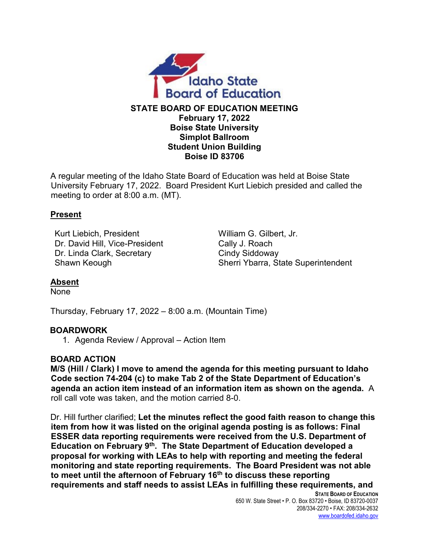

#### **STATE BOARD OF EDUCATION MEETING February 17, 2022 Boise State University Simplot Ballroom Student Union Building Boise ID 83706**

A regular meeting of the Idaho State Board of Education was held at Boise State University February 17, 2022. Board President Kurt Liebich presided and called the meeting to order at 8:00 a.m. (MT).

#### **Present**

Kurt Liebich, President William G. Gilbert, Jr. Dr. David Hill, Vice-President Cally J. Roach Dr. Linda Clark, Secretary Cindy Siddoway

Shawn Keough Sherri Ybarra, State Superintendent

## **Absent**

None

Thursday, February 17, 2022 – 8:00 a.m. (Mountain Time)

## **BOARDWORK**

1. Agenda Review / Approval – Action Item

#### **BOARD ACTION**

**M/S (Hill / Clark) I move to amend the agenda for this meeting pursuant to Idaho Code section 74-204 (c) to make Tab 2 of the State Department of Education's agenda an action item instead of an information item as shown on the agenda.** A roll call vote was taken, and the motion carried 8-0.

Dr. Hill further clarified; **Let the minutes reflect the good faith reason to change this item from how it was listed on the original agenda posting is as follows: Final ESSER data reporting requirements were received from the U.S. Department of Education on February 9th. The State Department of Education developed a proposal for working with LEAs to help with reporting and meeting the federal monitoring and state reporting requirements. The Board President was not able to meet until the afternoon of February 16th to discuss these reporting requirements and staff needs to assist LEAs in fulfilling these requirements, and** 

**STATE BOARD OF EDUCATION** 650 W. State Street • P. O. Box 83720 • Boise, ID 83720-0037 208/334-2270 • FAX: 208/334-2632 [www.boardofed.idaho.gov](http://www.boardofed.idaho.gov/)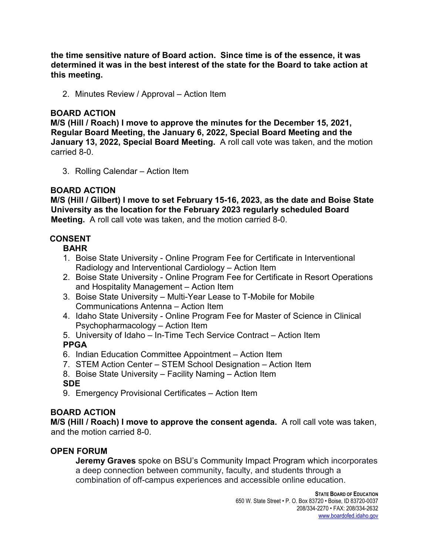**the time sensitive nature of Board action. Since time is of the essence, it was determined it was in the best interest of the state for the Board to take action at this meeting.**

2. Minutes Review / Approval – Action Item

### **BOARD ACTION**

**M/S (Hill / Roach) I move to approve the minutes for the December 15, 2021, Regular Board Meeting, the January 6, 2022, Special Board Meeting and the January 13, 2022, Special Board Meeting.** A roll call vote was taken, and the motion carried 8-0.

3. Rolling Calendar – Action Item

## **BOARD ACTION**

**M/S (Hill / Gilbert) I move to set February 15-16, 2023, as the date and Boise State University as the location for the February 2023 regularly scheduled Board Meeting.** A roll call vote was taken, and the motion carried 8-0.

## **CONSENT**

**BAHR** 

- 1. Boise State University Online Program Fee for Certificate in Interventional Radiology and Interventional Cardiology – Action Item
- 2. Boise State University Online Program Fee for Certificate in Resort Operations and Hospitality Management – Action Item
- 3. Boise State University Multi-Year Lease to T-Mobile for Mobile Communications Antenna – Action Item
- 4. Idaho State University Online Program Fee for Master of Science in Clinical Psychopharmacology – Action Item
- 5. University of Idaho In-Time Tech Service Contract Action Item

# **PPGA**

- 6. Indian Education Committee Appointment Action Item
- 7. STEM Action Center STEM School Designation Action Item
- 8. Boise State University Facility Naming Action Item

**SDE** 

9. Emergency Provisional Certificates – Action Item

# **BOARD ACTION**

**M/S (Hill / Roach) I move to approve the consent agenda.** A roll call vote was taken, and the motion carried 8-0.

# **OPEN FORUM**

**Jeremy Graves** spoke on BSU's Community Impact Program which incorporates a deep connection between community, faculty, and students through a combination of off-campus experiences and accessible online education.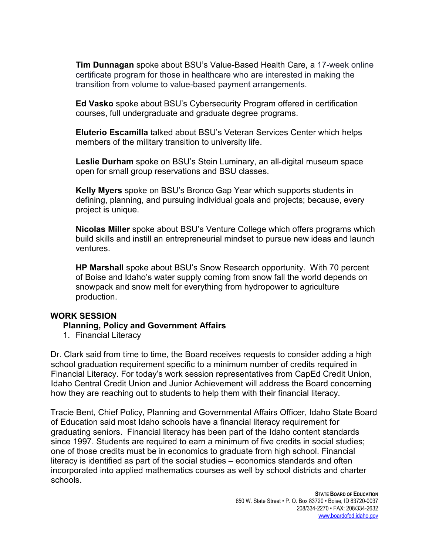**Tim Dunnagan** spoke about BSU's Value-Based Health Care, a 17-week online certificate program for those in healthcare who are interested in making the transition from volume to value-based payment arrangements.

**Ed Vasko** spoke about BSU's Cybersecurity Program offered in certification courses, full undergraduate and graduate degree programs.

**Eluterio Escamilla** talked about BSU's Veteran Services Center which helps members of the military transition to university life.

**Leslie Durham** spoke on BSU's Stein Luminary, an all-digital museum space open for small group reservations and BSU classes.

**Kelly Myers** spoke on BSU's Bronco Gap Year which supports students in defining, planning, and pursuing individual goals and projects; because, every project is unique.

**Nicolas Miller** spoke about BSU's Venture College which offers programs which build skills and instill an entrepreneurial mindset to pursue new ideas and launch ventures.

**HP Marshall** spoke about BSU's Snow Research opportunity. With 70 percent of Boise and Idaho's water supply coming from snow fall the world depends on snowpack and snow melt for everything from hydropower to agriculture production.

#### **WORK SESSION**

#### **Planning, Policy and Government Affairs**

1. Financial Literacy

Dr. Clark said from time to time, the Board receives requests to consider adding a high school graduation requirement specific to a minimum number of credits required in Financial Literacy. For today's work session representatives from CapEd Credit Union, Idaho Central Credit Union and Junior Achievement will address the Board concerning how they are reaching out to students to help them with their financial literacy.

Tracie Bent, Chief Policy, Planning and Governmental Affairs Officer, Idaho State Board of Education said most Idaho schools have a financial literacy requirement for graduating seniors. Financial literacy has been part of the Idaho content standards since 1997. Students are required to earn a minimum of five credits in social studies; one of those credits must be in economics to graduate from high school. Financial literacy is identified as part of the social studies – economics standards and often incorporated into applied mathematics courses as well by school districts and charter schools.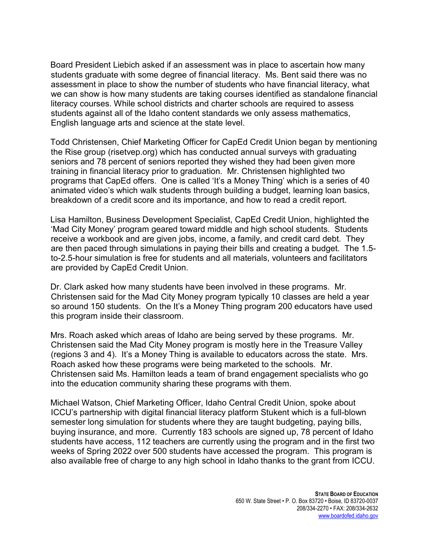Board President Liebich asked if an assessment was in place to ascertain how many students graduate with some degree of financial literacy. Ms. Bent said there was no assessment in place to show the number of students who have financial literacy, what we can show is how many students are taking courses identified as standalone financial literacy courses. While school districts and charter schools are required to assess students against all of the Idaho content standards we only assess mathematics, English language arts and science at the state level.

Todd Christensen, Chief Marketing Officer for CapEd Credit Union began by mentioning the Rise group (risetvep.org) which has conducted annual surveys with graduating seniors and 78 percent of seniors reported they wished they had been given more training in financial literacy prior to graduation. Mr. Christensen highlighted two programs that CapEd offers. One is called 'It's a Money Thing' which is a series of 40 animated video's which walk students through building a budget, learning loan basics, breakdown of a credit score and its importance, and how to read a credit report.

Lisa Hamilton, Business Development Specialist, CapEd Credit Union, highlighted the 'Mad City Money' program geared toward middle and high school students. Students receive a workbook and are given jobs, income, a family, and credit card debt. They are then paced through simulations in paying their bills and creating a budget. The 1.5 to-2.5-hour simulation is free for students and all materials, volunteers and facilitators are provided by CapEd Credit Union.

Dr. Clark asked how many students have been involved in these programs. Mr. Christensen said for the Mad City Money program typically 10 classes are held a year so around 150 students. On the It's a Money Thing program 200 educators have used this program inside their classroom.

Mrs. Roach asked which areas of Idaho are being served by these programs. Mr. Christensen said the Mad City Money program is mostly here in the Treasure Valley (regions 3 and 4). It's a Money Thing is available to educators across the state. Mrs. Roach asked how these programs were being marketed to the schools. Mr. Christensen said Ms. Hamilton leads a team of brand engagement specialists who go into the education community sharing these programs with them.

Michael Watson, Chief Marketing Officer, Idaho Central Credit Union, spoke about ICCU's partnership with digital financial literacy platform Stukent which is a full-blown semester long simulation for students where they are taught budgeting, paying bills, buying insurance, and more. Currently 183 schools are signed up, 78 percent of Idaho students have access, 112 teachers are currently using the program and in the first two weeks of Spring 2022 over 500 students have accessed the program. This program is also available free of charge to any high school in Idaho thanks to the grant from ICCU.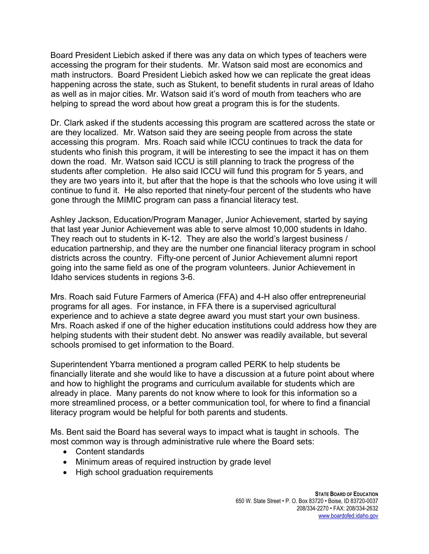Board President Liebich asked if there was any data on which types of teachers were accessing the program for their students. Mr. Watson said most are economics and math instructors. Board President Liebich asked how we can replicate the great ideas happening across the state, such as Stukent, to benefit students in rural areas of Idaho as well as in major cities. Mr. Watson said it's word of mouth from teachers who are helping to spread the word about how great a program this is for the students.

Dr. Clark asked if the students accessing this program are scattered across the state or are they localized. Mr. Watson said they are seeing people from across the state accessing this program. Mrs. Roach said while ICCU continues to track the data for students who finish this program, it will be interesting to see the impact it has on them down the road. Mr. Watson said ICCU is still planning to track the progress of the students after completion. He also said ICCU will fund this program for 5 years, and they are two years into it, but after that the hope is that the schools who love using it will continue to fund it. He also reported that ninety-four percent of the students who have gone through the MIMIC program can pass a financial literacy test.

Ashley Jackson, Education/Program Manager, Junior Achievement, started by saying that last year Junior Achievement was able to serve almost 10,000 students in Idaho. They reach out to students in K-12. They are also the world's largest business / education partnership, and they are the number one financial literacy program in school districts across the country. Fifty-one percent of Junior Achievement alumni report going into the same field as one of the program volunteers. Junior Achievement in Idaho services students in regions 3-6.

Mrs. Roach said Future Farmers of America (FFA) and 4-H also offer entrepreneurial programs for all ages. For instance, in FFA there is a supervised agricultural experience and to achieve a state degree award you must start your own business. Mrs. Roach asked if one of the higher education institutions could address how they are helping students with their student debt. No answer was readily available, but several schools promised to get information to the Board.

Superintendent Ybarra mentioned a program called PERK to help students be financially literate and she would like to have a discussion at a future point about where and how to highlight the programs and curriculum available for students which are already in place. Many parents do not know where to look for this information so a more streamlined process, or a better communication tool, for where to find a financial literacy program would be helpful for both parents and students.

Ms. Bent said the Board has several ways to impact what is taught in schools. The most common way is through administrative rule where the Board sets:

- Content standards
- Minimum areas of required instruction by grade level
- High school graduation requirements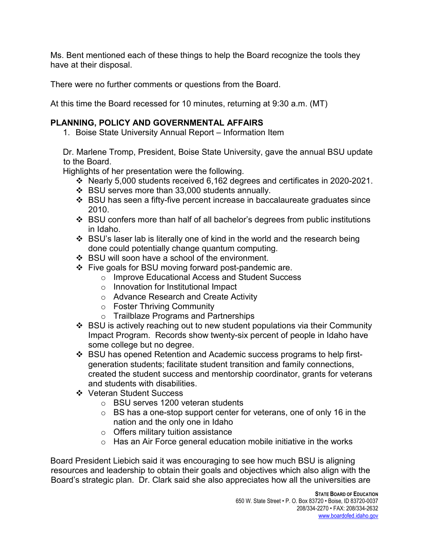Ms. Bent mentioned each of these things to help the Board recognize the tools they have at their disposal.

There were no further comments or questions from the Board.

At this time the Board recessed for 10 minutes, returning at 9:30 a.m. (MT)

# **PLANNING, POLICY AND GOVERNMENTAL AFFAIRS**

1. Boise State University Annual Report – Information Item

Dr. Marlene Tromp, President, Boise State University, gave the annual BSU update to the Board.

Highlights of her presentation were the following.

- Nearly 5,000 students received 6,162 degrees and certificates in 2020-2021.
- BSU serves more than 33,000 students annually.
- $\div$  BSU has seen a fifty-five percent increase in baccalaureate graduates since 2010.
- BSU confers more than half of all bachelor's degrees from public institutions in Idaho.
- $\div$  BSU's laser lab is literally one of kind in the world and the research being done could potentially change quantum computing.
- BSU will soon have a school of the environment.
- $\div$  Five goals for BSU moving forward post-pandemic are.
	- o Improve Educational Access and Student Success
	- o Innovation for Institutional Impact
	- o Advance Research and Create Activity
	- o Foster Thriving Community
	- o Trailblaze Programs and Partnerships
- BSU is actively reaching out to new student populations via their Community Impact Program. Records show twenty-six percent of people in Idaho have some college but no degree.
- BSU has opened Retention and Academic success programs to help firstgeneration students; facilitate student transition and family connections, created the student success and mentorship coordinator, grants for veterans and students with disabilities.
- ❖ Veteran Student Success
	- o BSU serves 1200 veteran students
	- $\circ$  BS has a one-stop support center for veterans, one of only 16 in the nation and the only one in Idaho
	- o Offers military tuition assistance
	- $\circ$  Has an Air Force general education mobile initiative in the works

Board President Liebich said it was encouraging to see how much BSU is aligning resources and leadership to obtain their goals and objectives which also align with the Board's strategic plan. Dr. Clark said she also appreciates how all the universities are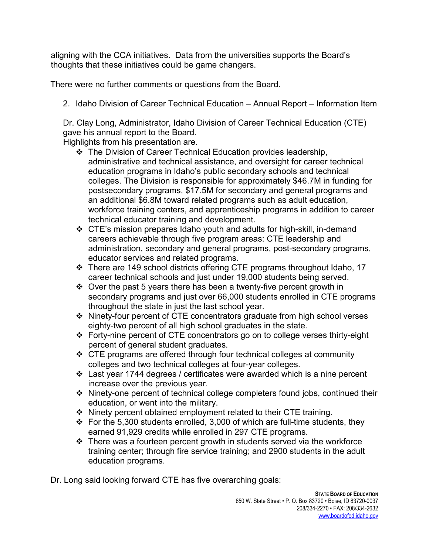aligning with the CCA initiatives. Data from the universities supports the Board's thoughts that these initiatives could be game changers.

There were no further comments or questions from the Board.

2. Idaho Division of Career Technical Education – Annual Report – Information Item

Dr. Clay Long, Administrator, Idaho Division of Career Technical Education (CTE) gave his annual report to the Board.

Highlights from his presentation are.

- The Division of Career Technical Education provides leadership, administrative and technical assistance, and oversight for career technical education programs in Idaho's public secondary schools and technical colleges. The Division is responsible for approximately \$46.7M in funding for postsecondary programs, \$17.5M for secondary and general programs and an additional \$6.8M toward related programs such as adult education, workforce training centers, and apprenticeship programs in addition to career technical educator training and development.
- CTE's mission prepares Idaho youth and adults for high-skill, in-demand careers achievable through five program areas: CTE leadership and administration, secondary and general programs, post-secondary programs, educator services and related programs.
- \* There are 149 school districts offering CTE programs throughout Idaho, 17 career technical schools and just under 19,000 students being served.
- $\cdot$  Over the past 5 years there has been a twenty-five percent growth in secondary programs and just over 66,000 students enrolled in CTE programs throughout the state in just the last school year.
- Ninety-four percent of CTE concentrators graduate from high school verses eighty-two percent of all high school graduates in the state.
- Forty-nine percent of CTE concentrators go on to college verses thirty-eight percent of general student graduates.
- $\div$  CTE programs are offered through four technical colleges at community colleges and two technical colleges at four-year colleges.
- Last year 1744 degrees / certificates were awarded which is a nine percent increase over the previous year.
- Ninety-one percent of technical college completers found jobs, continued their education, or went into the military.
- Ninety percent obtained employment related to their CTE training.
- $\div$  For the 5,300 students enrolled, 3,000 of which are full-time students, they earned 91,929 credits while enrolled in 297 CTE programs.
- $\cdot \cdot$  There was a fourteen percent growth in students served via the workforce training center; through fire service training; and 2900 students in the adult education programs.

Dr. Long said looking forward CTE has five overarching goals: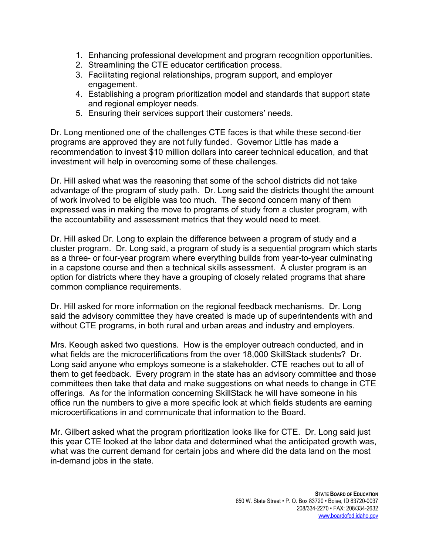- 1. Enhancing professional development and program recognition opportunities.
- 2. Streamlining the CTE educator certification process.
- 3. Facilitating regional relationships, program support, and employer engagement.
- 4. Establishing a program prioritization model and standards that support state and regional employer needs.
- 5. Ensuring their services support their customers' needs.

Dr. Long mentioned one of the challenges CTE faces is that while these second-tier programs are approved they are not fully funded. Governor Little has made a recommendation to invest \$10 million dollars into career technical education, and that investment will help in overcoming some of these challenges.

Dr. Hill asked what was the reasoning that some of the school districts did not take advantage of the program of study path. Dr. Long said the districts thought the amount of work involved to be eligible was too much. The second concern many of them expressed was in making the move to programs of study from a cluster program, with the accountability and assessment metrics that they would need to meet.

Dr. Hill asked Dr. Long to explain the difference between a program of study and a cluster program. Dr. Long said, a program of study is a sequential program which starts as a three- or four-year program where everything builds from year-to-year culminating in a capstone course and then a technical skills assessment. A cluster program is an option for districts where they have a grouping of closely related programs that share common compliance requirements.

Dr. Hill asked for more information on the regional feedback mechanisms. Dr. Long said the advisory committee they have created is made up of superintendents with and without CTE programs, in both rural and urban areas and industry and employers.

Mrs. Keough asked two questions. How is the employer outreach conducted, and in what fields are the microcertifications from the over 18,000 SkillStack students? Dr. Long said anyone who employs someone is a stakeholder. CTE reaches out to all of them to get feedback. Every program in the state has an advisory committee and those committees then take that data and make suggestions on what needs to change in CTE offerings. As for the information concerning SkillStack he will have someone in his office run the numbers to give a more specific look at which fields students are earning microcertifications in and communicate that information to the Board.

Mr. Gilbert asked what the program prioritization looks like for CTE. Dr. Long said just this year CTE looked at the labor data and determined what the anticipated growth was, what was the current demand for certain jobs and where did the data land on the most in-demand jobs in the state.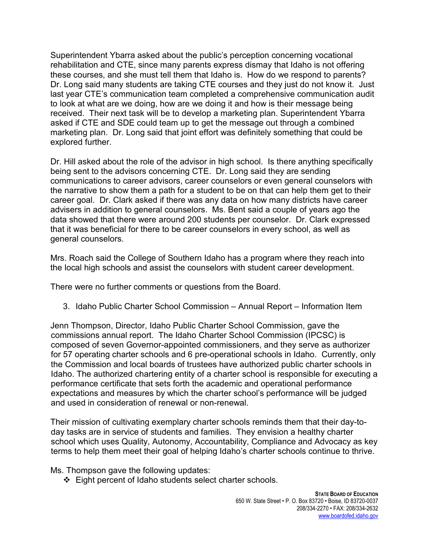Superintendent Ybarra asked about the public's perception concerning vocational rehabilitation and CTE, since many parents express dismay that Idaho is not offering these courses, and she must tell them that Idaho is. How do we respond to parents? Dr. Long said many students are taking CTE courses and they just do not know it. Just last year CTE's communication team completed a comprehensive communication audit to look at what are we doing, how are we doing it and how is their message being received. Their next task will be to develop a marketing plan. Superintendent Ybarra asked if CTE and SDE could team up to get the message out through a combined marketing plan. Dr. Long said that joint effort was definitely something that could be explored further.

Dr. Hill asked about the role of the advisor in high school. Is there anything specifically being sent to the advisors concerning CTE. Dr. Long said they are sending communications to career advisors, career counselors or even general counselors with the narrative to show them a path for a student to be on that can help them get to their career goal. Dr. Clark asked if there was any data on how many districts have career advisers in addition to general counselors. Ms. Bent said a couple of years ago the data showed that there were around 200 students per counselor. Dr. Clark expressed that it was beneficial for there to be career counselors in every school, as well as general counselors.

Mrs. Roach said the College of Southern Idaho has a program where they reach into the local high schools and assist the counselors with student career development.

There were no further comments or questions from the Board.

3. Idaho Public Charter School Commission – Annual Report – Information Item

Jenn Thompson, Director, Idaho Public Charter School Commission, gave the commissions annual report. The Idaho Charter School Commission (IPCSC) is composed of seven Governor-appointed commissioners, and they serve as authorizer for 57 operating charter schools and 6 pre-operational schools in Idaho. Currently, only the Commission and local boards of trustees have authorized public charter schools in Idaho. The authorized chartering entity of a charter school is responsible for executing a performance certificate that sets forth the academic and operational performance expectations and measures by which the charter school's performance will be judged and used in consideration of renewal or non-renewal.

Their mission of cultivating exemplary charter schools reminds them that their day-today tasks are in service of students and families. They envision a healthy charter school which uses Quality, Autonomy, Accountability, Compliance and Advocacy as key terms to help them meet their goal of helping Idaho's charter schools continue to thrive.

Ms. Thompson gave the following updates:

❖ Eight percent of Idaho students select charter schools.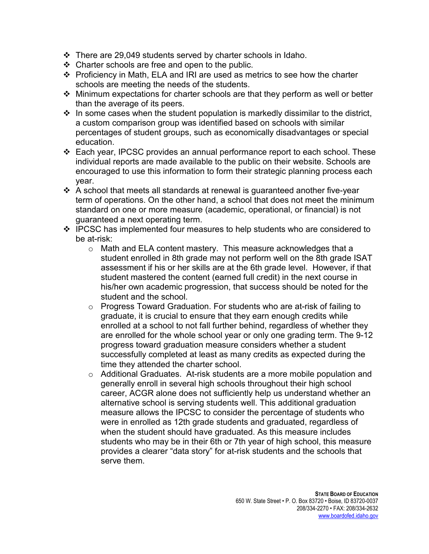- $\div$  There are 29,049 students served by charter schools in Idaho.
- $\div$  Charter schools are free and open to the public.
- Proficiency in Math, ELA and IRI are used as metrics to see how the charter schools are meeting the needs of the students.
- $\div$  Minimum expectations for charter schools are that they perform as well or better than the average of its peers.
- $\cdot$  In some cases when the student population is markedly dissimilar to the district, a custom comparison group was identified based on schools with similar percentages of student groups, such as economically disadvantages or special education.
- Each year, IPCSC provides an annual performance report to each school. These individual reports are made available to the public on their website. Schools are encouraged to use this information to form their strategic planning process each year.
- $\cdot$  A school that meets all standards at renewal is guaranteed another five-year term of operations. On the other hand, a school that does not meet the minimum standard on one or more measure (academic, operational, or financial) is not guaranteed a next operating term.
- $\div$  IPCSC has implemented four measures to help students who are considered to be at-risk:
	- o Math and ELA content mastery. This measure acknowledges that a student enrolled in 8th grade may not perform well on the 8th grade ISAT assessment if his or her skills are at the 6th grade level. However, if that student mastered the content (earned full credit) in the next course in his/her own academic progression, that success should be noted for the student and the school.
	- $\circ$  Progress Toward Graduation. For students who are at-risk of failing to graduate, it is crucial to ensure that they earn enough credits while enrolled at a school to not fall further behind, regardless of whether they are enrolled for the whole school year or only one grading term. The 9-12 progress toward graduation measure considers whether a student successfully completed at least as many credits as expected during the time they attended the charter school.
	- o Additional Graduates. At-risk students are a more mobile population and generally enroll in several high schools throughout their high school career, ACGR alone does not sufficiently help us understand whether an alternative school is serving students well. This additional graduation measure allows the IPCSC to consider the percentage of students who were in enrolled as 12th grade students and graduated, regardless of when the student should have graduated. As this measure includes students who may be in their 6th or 7th year of high school, this measure provides a clearer "data story" for at-risk students and the schools that serve them.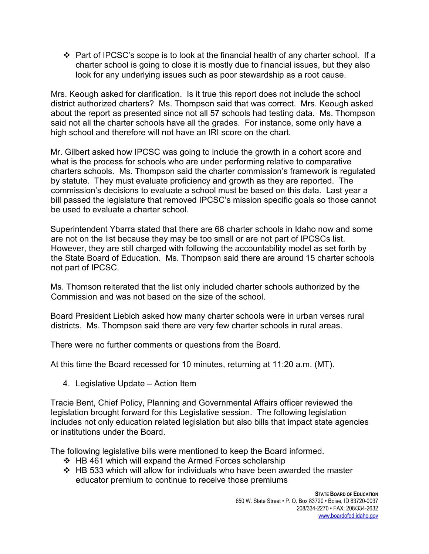$\div$  Part of IPCSC's scope is to look at the financial health of any charter school. If a charter school is going to close it is mostly due to financial issues, but they also look for any underlying issues such as poor stewardship as a root cause.

Mrs. Keough asked for clarification. Is it true this report does not include the school district authorized charters? Ms. Thompson said that was correct. Mrs. Keough asked about the report as presented since not all 57 schools had testing data. Ms. Thompson said not all the charter schools have all the grades. For instance, some only have a high school and therefore will not have an IRI score on the chart.

Mr. Gilbert asked how IPCSC was going to include the growth in a cohort score and what is the process for schools who are under performing relative to comparative charters schools. Ms. Thompson said the charter commission's framework is regulated by statute. They must evaluate proficiency and growth as they are reported. The commission's decisions to evaluate a school must be based on this data. Last year a bill passed the legislature that removed IPCSC's mission specific goals so those cannot be used to evaluate a charter school.

Superintendent Ybarra stated that there are 68 charter schools in Idaho now and some are not on the list because they may be too small or are not part of IPCSCs list. However, they are still charged with following the accountability model as set forth by the State Board of Education. Ms. Thompson said there are around 15 charter schools not part of IPCSC.

Ms. Thomson reiterated that the list only included charter schools authorized by the Commission and was not based on the size of the school.

Board President Liebich asked how many charter schools were in urban verses rural districts. Ms. Thompson said there are very few charter schools in rural areas.

There were no further comments or questions from the Board.

At this time the Board recessed for 10 minutes, returning at 11:20 a.m. (MT).

4. Legislative Update – Action Item

Tracie Bent, Chief Policy, Planning and Governmental Affairs officer reviewed the legislation brought forward for this Legislative session. The following legislation includes not only education related legislation but also bills that impact state agencies or institutions under the Board.

The following legislative bills were mentioned to keep the Board informed.

- ❖ HB 461 which will expand the Armed Forces scholarship
- $\div$  HB 533 which will allow for individuals who have been awarded the master educator premium to continue to receive those premiums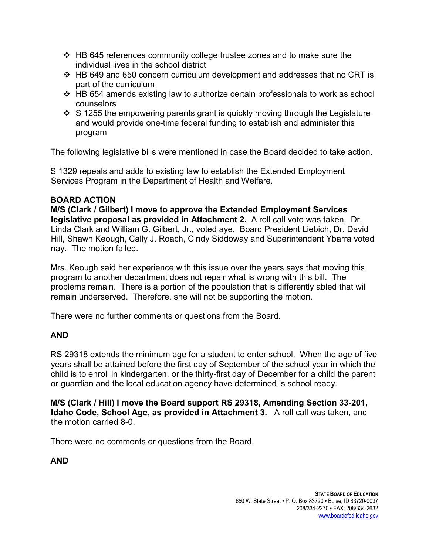- $\div$  HB 645 references community college trustee zones and to make sure the individual lives in the school district
- $\div$  HB 649 and 650 concern curriculum development and addresses that no CRT is part of the curriculum
- $\div$  HB 654 amends existing law to authorize certain professionals to work as school counselors
- $\div$  S 1255 the empowering parents grant is quickly moving through the Legislature and would provide one-time federal funding to establish and administer this program

The following legislative bills were mentioned in case the Board decided to take action.

S 1329 repeals and adds to existing law to establish the Extended Employment Services Program in the Department of Health and Welfare.

## **BOARD ACTION**

**M/S (Clark / Gilbert) I move to approve the Extended Employment Services legislative proposal as provided in Attachment 2.** A roll call vote was taken. Dr. Linda Clark and William G. Gilbert, Jr., voted aye. Board President Liebich, Dr. David Hill, Shawn Keough, Cally J. Roach, Cindy Siddoway and Superintendent Ybarra voted nay. The motion failed.

Mrs. Keough said her experience with this issue over the years says that moving this program to another department does not repair what is wrong with this bill. The problems remain. There is a portion of the population that is differently abled that will remain underserved. Therefore, she will not be supporting the motion.

There were no further comments or questions from the Board.

# **AND**

RS 29318 extends the minimum age for a student to enter school. When the age of five years shall be attained before the first day of September of the school year in which the child is to enroll in kindergarten, or the thirty-first day of December for a child the parent or guardian and the local education agency have determined is school ready.

**M/S (Clark / Hill) I move the Board support RS 29318, Amending Section 33-201, Idaho Code, School Age, as provided in Attachment 3.** A roll call was taken, and the motion carried 8-0.

There were no comments or questions from the Board.

**AND**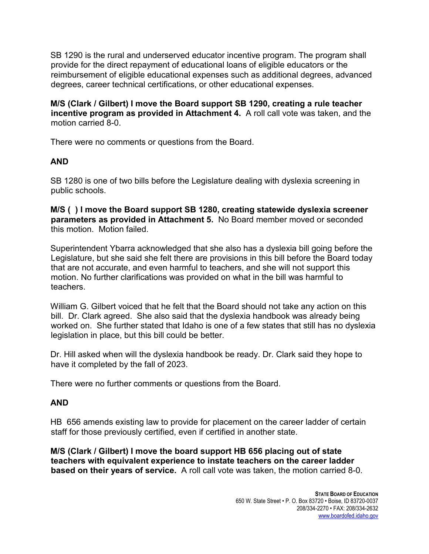SB 1290 is the rural and underserved educator incentive program. The program shall provide for the direct repayment of educational loans of eligible educators or the reimbursement of eligible educational expenses such as additional degrees, advanced degrees, career technical certifications, or other educational expenses.

**M/S (Clark / Gilbert) I move the Board support SB 1290, creating a rule teacher incentive program as provided in Attachment 4.** A roll call vote was taken, and the motion carried 8-0.

There were no comments or questions from the Board.

# **AND**

SB 1280 is one of two bills before the Legislature dealing with dyslexia screening in public schools.

**M/S ( ) I move the Board support SB 1280, creating statewide dyslexia screener parameters as provided in Attachment 5.** No Board member moved or seconded this motion. Motion failed.

Superintendent Ybarra acknowledged that she also has a dyslexia bill going before the Legislature, but she said she felt there are provisions in this bill before the Board today that are not accurate, and even harmful to teachers, and she will not support this motion. No further clarifications was provided on what in the bill was harmful to teachers.

William G. Gilbert voiced that he felt that the Board should not take any action on this bill. Dr. Clark agreed. She also said that the dyslexia handbook was already being worked on. She further stated that Idaho is one of a few states that still has no dyslexia legislation in place, but this bill could be better.

Dr. Hill asked when will the dyslexia handbook be ready. Dr. Clark said they hope to have it completed by the fall of 2023.

There were no further comments or questions from the Board.

# **AND**

HB 656 amends existing law to provide for placement on the career ladder of certain staff for those previously certified, even if certified in another state.

**M/S (Clark / Gilbert) I move the board support HB 656 placing out of state teachers with equivalent experience to instate teachers on the career ladder based on their years of service.** A roll call vote was taken, the motion carried 8-0.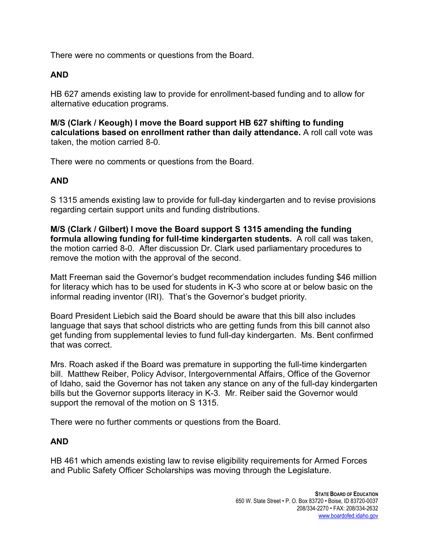There were no comments or questions from the Board.

## **AND**

HB 627 amends existing law to provide for enrollment-based funding and to allow for alternative education programs.

**M/S (Clark / Keough) I move the Board support HB 627 shifting to funding calculations based on enrollment rather than daily attendance.** A roll call vote was taken, the motion carried 8-0.

There were no comments or questions from the Board.

## **AND**

S 1315 amends existing law to provide for full-day kindergarten and to revise provisions regarding certain support units and funding distributions.

**M/S (Clark / Gilbert) I move the Board support S 1315 amending the funding formula allowing funding for full-time kindergarten students.** A roll call was taken, the motion carried 8-0. After discussion Dr. Clark used parliamentary procedures to remove the motion with the approval of the second.

Matt Freeman said the Governor's budget recommendation includes funding \$46 million for literacy which has to be used for students in K-3 who score at or below basic on the informal reading inventor (IRI). That's the Governor's budget priority.

Board President Liebich said the Board should be aware that this bill also includes language that says that school districts who are getting funds from this bill cannot also get funding from supplemental levies to fund full-day kindergarten. Ms. Bent confirmed that was correct.

Mrs. Roach asked if the Board was premature in supporting the full-time kindergarten bill. Matthew Reiber, Policy Advisor, Intergovernmental Affairs, Office of the Governor of Idaho, said the Governor has not taken any stance on any of the full-day kindergarten bills but the Governor supports literacy in K-3. Mr. Reiber said the Governor would support the removal of the motion on S 1315.

There were no further comments or questions from the Board.

# **AND**

HB 461 which amends existing law to revise eligibility requirements for Armed Forces and Public Safety Officer Scholarships was moving through the Legislature.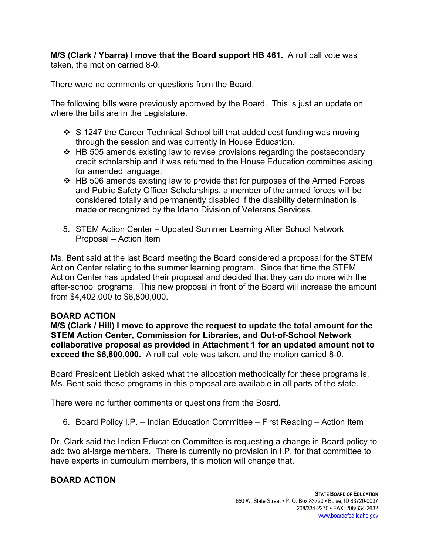**M/S (Clark / Ybarra) I move that the Board support HB 461.** A roll call vote was taken, the motion carried 8-0.

There were no comments or questions from the Board.

The following bills were previously approved by the Board. This is just an update on where the bills are in the Legislature.

- $\div$  S 1247 the Career Technical School bill that added cost funding was moving through the session and was currently in House Education.
- $\div$  HB 505 amends existing law to revise provisions regarding the postsecondary credit scholarship and it was returned to the House Education committee asking for amended language.
- HB 506 amends existing law to provide that for purposes of the Armed Forces and Public Safety Officer Scholarships, a member of the armed forces will be considered totally and permanently disabled if the disability determination is made or recognized by the Idaho Division of Veterans Services.
- 5. STEM Action Center Updated Summer Learning After School Network Proposal – Action Item

Ms. Bent said at the last Board meeting the Board considered a proposal for the STEM Action Center relating to the summer learning program. Since that time the STEM Action Center has updated their proposal and decided that they can do more with the after-school programs. This new proposal in front of the Board will increase the amount from \$4,402,000 to \$6,800,000.

## **BOARD ACTION**

**M/S (Clark / Hill) I move to approve the request to update the total amount for the STEM Action Center, Commission for Libraries, and Out-of-School Network collaborative proposal as provided in Attachment 1 for an updated amount not to exceed the \$6,800,000.** A roll call vote was taken, and the motion carried 8-0.

Board President Liebich asked what the allocation methodically for these programs is. Ms. Bent said these programs in this proposal are available in all parts of the state.

There were no further comments or questions from the Board.

6. Board Policy I.P. – Indian Education Committee – First Reading – Action Item

Dr. Clark said the Indian Education Committee is requesting a change in Board policy to add two at-large members. There is currently no provision in I.P. for that committee to have experts in curriculum members, this motion will change that.

# **BOARD ACTION**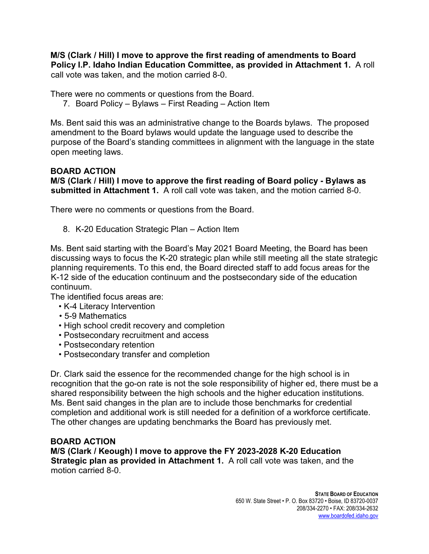**M/S (Clark / Hill) I move to approve the first reading of amendments to Board Policy I.P. Idaho Indian Education Committee, as provided in Attachment 1.** A roll call vote was taken, and the motion carried 8-0.

There were no comments or questions from the Board.

7. Board Policy – Bylaws – First Reading – Action Item

Ms. Bent said this was an administrative change to the Boards bylaws. The proposed amendment to the Board bylaws would update the language used to describe the purpose of the Board's standing committees in alignment with the language in the state open meeting laws.

## **BOARD ACTION**

**M/S (Clark / Hill) I move to approve the first reading of Board policy - Bylaws as submitted in Attachment 1.** A roll call vote was taken, and the motion carried 8-0.

There were no comments or questions from the Board.

8. K-20 Education Strategic Plan – Action Item

Ms. Bent said starting with the Board's May 2021 Board Meeting, the Board has been discussing ways to focus the K-20 strategic plan while still meeting all the state strategic planning requirements. To this end, the Board directed staff to add focus areas for the K-12 side of the education continuum and the postsecondary side of the education continuum.

The identified focus areas are:

- K-4 Literacy Intervention
- 5-9 Mathematics
- High school credit recovery and completion
- Postsecondary recruitment and access
- Postsecondary retention
- Postsecondary transfer and completion

Dr. Clark said the essence for the recommended change for the high school is in recognition that the go-on rate is not the sole responsibility of higher ed, there must be a shared responsibility between the high schools and the higher education institutions. Ms. Bent said changes in the plan are to include those benchmarks for credential completion and additional work is still needed for a definition of a workforce certificate. The other changes are updating benchmarks the Board has previously met.

#### **BOARD ACTION**

**M/S (Clark / Keough) I move to approve the FY 2023-2028 K-20 Education Strategic plan as provided in Attachment 1.** A roll call vote was taken, and the motion carried 8-0.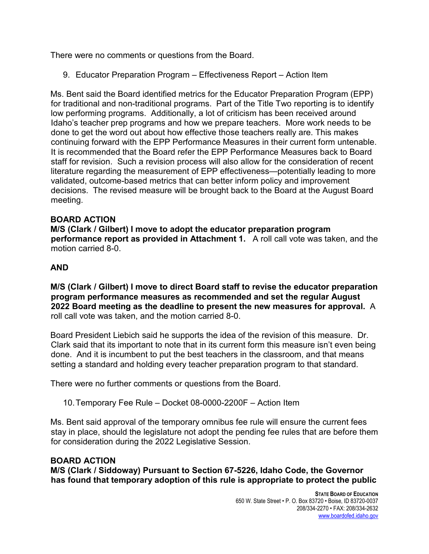There were no comments or questions from the Board.

9. Educator Preparation Program – Effectiveness Report – Action Item

Ms. Bent said the Board identified metrics for the Educator Preparation Program (EPP) for traditional and non-traditional programs. Part of the Title Two reporting is to identify low performing programs. Additionally, a lot of criticism has been received around Idaho's teacher prep programs and how we prepare teachers. More work needs to be done to get the word out about how effective those teachers really are. This makes continuing forward with the EPP Performance Measures in their current form untenable. It is recommended that the Board refer the EPP Performance Measures back to Board staff for revision. Such a revision process will also allow for the consideration of recent literature regarding the measurement of EPP effectiveness—potentially leading to more validated, outcome-based metrics that can better inform policy and improvement decisions. The revised measure will be brought back to the Board at the August Board meeting.

## **BOARD ACTION**

**M/S (Clark / Gilbert) I move to adopt the educator preparation program performance report as provided in Attachment 1.** A roll call vote was taken, and the motion carried 8-0.

## **AND**

**M/S (Clark / Gilbert) I move to direct Board staff to revise the educator preparation program performance measures as recommended and set the regular August 2022 Board meeting as the deadline to present the new measures for approval.** A roll call vote was taken, and the motion carried 8-0.

Board President Liebich said he supports the idea of the revision of this measure. Dr. Clark said that its important to note that in its current form this measure isn't even being done. And it is incumbent to put the best teachers in the classroom, and that means setting a standard and holding every teacher preparation program to that standard.

There were no further comments or questions from the Board.

10.Temporary Fee Rule – Docket 08-0000-2200F – Action Item

Ms. Bent said approval of the temporary omnibus fee rule will ensure the current fees stay in place, should the legislature not adopt the pending fee rules that are before them for consideration during the 2022 Legislative Session.

#### **BOARD ACTION**

**M/S (Clark / Siddoway) Pursuant to Section 67-5226, Idaho Code, the Governor has found that temporary adoption of this rule is appropriate to protect the public**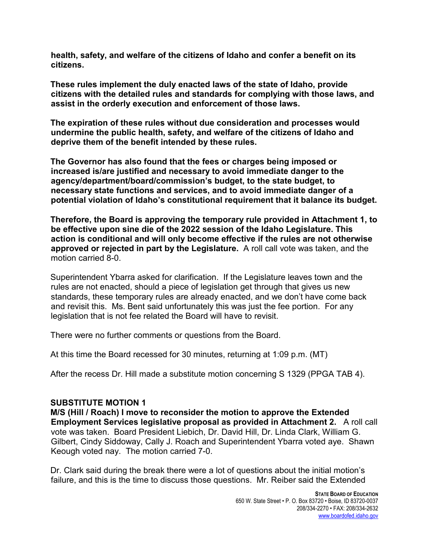**health, safety, and welfare of the citizens of Idaho and confer a benefit on its citizens.** 

**These rules implement the duly enacted laws of the state of Idaho, provide citizens with the detailed rules and standards for complying with those laws, and assist in the orderly execution and enforcement of those laws.** 

**The expiration of these rules without due consideration and processes would undermine the public health, safety, and welfare of the citizens of Idaho and deprive them of the benefit intended by these rules.** 

**The Governor has also found that the fees or charges being imposed or increased is/are justified and necessary to avoid immediate danger to the agency/department/board/commission's budget, to the state budget, to necessary state functions and services, and to avoid immediate danger of a potential violation of Idaho's constitutional requirement that it balance its budget.** 

**Therefore, the Board is approving the temporary rule provided in Attachment 1, to be effective upon sine die of the 2022 session of the Idaho Legislature. This action is conditional and will only become effective if the rules are not otherwise approved or rejected in part by the Legislature.** A roll call vote was taken, and the motion carried 8-0.

Superintendent Ybarra asked for clarification. If the Legislature leaves town and the rules are not enacted, should a piece of legislation get through that gives us new standards, these temporary rules are already enacted, and we don't have come back and revisit this. Ms. Bent said unfortunately this was just the fee portion. For any legislation that is not fee related the Board will have to revisit.

There were no further comments or questions from the Board.

At this time the Board recessed for 30 minutes, returning at 1:09 p.m. (MT)

After the recess Dr. Hill made a substitute motion concerning S 1329 (PPGA TAB 4).

#### **SUBSTITUTE MOTION 1**

**M/S (Hill / Roach) I move to reconsider the motion to approve the Extended Employment Services legislative proposal as provided in Attachment 2.** A roll call vote was taken. Board President Liebich, Dr. David Hill, Dr. Linda Clark, William G. Gilbert, Cindy Siddoway, Cally J. Roach and Superintendent Ybarra voted aye. Shawn Keough voted nay. The motion carried 7-0.

Dr. Clark said during the break there were a lot of questions about the initial motion's failure, and this is the time to discuss those questions. Mr. Reiber said the Extended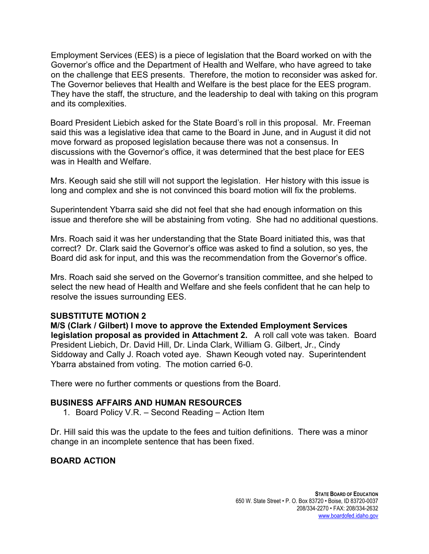Employment Services (EES) is a piece of legislation that the Board worked on with the Governor's office and the Department of Health and Welfare, who have agreed to take on the challenge that EES presents. Therefore, the motion to reconsider was asked for. The Governor believes that Health and Welfare is the best place for the EES program. They have the staff, the structure, and the leadership to deal with taking on this program and its complexities.

Board President Liebich asked for the State Board's roll in this proposal. Mr. Freeman said this was a legislative idea that came to the Board in June, and in August it did not move forward as proposed legislation because there was not a consensus. In discussions with the Governor's office, it was determined that the best place for EES was in Health and Welfare.

Mrs. Keough said she still will not support the legislation. Her history with this issue is long and complex and she is not convinced this board motion will fix the problems.

Superintendent Ybarra said she did not feel that she had enough information on this issue and therefore she will be abstaining from voting. She had no additional questions.

Mrs. Roach said it was her understanding that the State Board initiated this, was that correct? Dr. Clark said the Governor's office was asked to find a solution, so yes, the Board did ask for input, and this was the recommendation from the Governor's office.

Mrs. Roach said she served on the Governor's transition committee, and she helped to select the new head of Health and Welfare and she feels confident that he can help to resolve the issues surrounding EES.

#### **SUBSTITUTE MOTION 2**

**M/S (Clark / Gilbert) I move to approve the Extended Employment Services legislation proposal as provided in Attachment 2.** A roll call vote was taken. Board President Liebich, Dr. David Hill, Dr. Linda Clark, William G. Gilbert, Jr., Cindy Siddoway and Cally J. Roach voted aye. Shawn Keough voted nay. Superintendent Ybarra abstained from voting. The motion carried 6-0.

There were no further comments or questions from the Board.

#### **BUSINESS AFFAIRS AND HUMAN RESOURCES**

1. Board Policy V.R. – Second Reading – Action Item

Dr. Hill said this was the update to the fees and tuition definitions. There was a minor change in an incomplete sentence that has been fixed.

## **BOARD ACTION**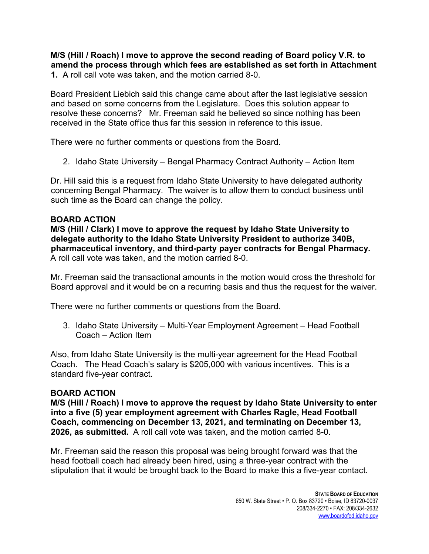**M/S (Hill / Roach) I move to approve the second reading of Board policy V.R. to amend the process through which fees are established as set forth in Attachment 1.** A roll call vote was taken, and the motion carried 8-0.

Board President Liebich said this change came about after the last legislative session and based on some concerns from the Legislature. Does this solution appear to resolve these concerns? Mr. Freeman said he believed so since nothing has been received in the State office thus far this session in reference to this issue.

There were no further comments or questions from the Board.

2. Idaho State University – Bengal Pharmacy Contract Authority – Action Item

Dr. Hill said this is a request from Idaho State University to have delegated authority concerning Bengal Pharmacy. The waiver is to allow them to conduct business until such time as the Board can change the policy.

## **BOARD ACTION**

**M/S (Hill / Clark) I move to approve the request by Idaho State University to delegate authority to the Idaho State University President to authorize 340B, pharmaceutical inventory, and third-party payer contracts for Bengal Pharmacy.** A roll call vote was taken, and the motion carried 8-0.

Mr. Freeman said the transactional amounts in the motion would cross the threshold for Board approval and it would be on a recurring basis and thus the request for the waiver.

There were no further comments or questions from the Board.

3. Idaho State University – Multi-Year Employment Agreement – Head Football Coach – Action Item

Also, from Idaho State University is the multi-year agreement for the Head Football Coach. The Head Coach's salary is \$205,000 with various incentives. This is a standard five-year contract.

## **BOARD ACTION**

**M/S (Hill / Roach) I move to approve the request by Idaho State University to enter into a five (5) year employment agreement with Charles Ragle, Head Football Coach, commencing on December 13, 2021, and terminating on December 13, 2026, as submitted.** A roll call vote was taken, and the motion carried 8-0.

Mr. Freeman said the reason this proposal was being brought forward was that the head football coach had already been hired, using a three-year contract with the stipulation that it would be brought back to the Board to make this a five-year contact.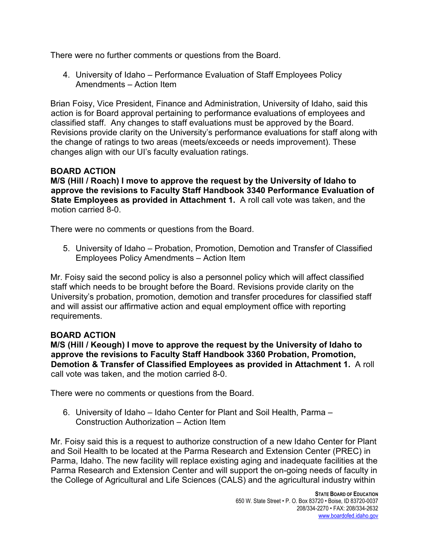There were no further comments or questions from the Board.

4. University of Idaho – Performance Evaluation of Staff Employees Policy Amendments – Action Item

Brian Foisy, Vice President, Finance and Administration, University of Idaho, said this action is for Board approval pertaining to performance evaluations of employees and classified staff. Any changes to staff evaluations must be approved by the Board. Revisions provide clarity on the University's performance evaluations for staff along with the change of ratings to two areas (meets/exceeds or needs improvement). These changes align with our UI's faculty evaluation ratings.

## **BOARD ACTION**

**M/S (Hill / Roach) I move to approve the request by the University of Idaho to approve the revisions to Faculty Staff Handbook 3340 Performance Evaluation of State Employees as provided in Attachment 1.** A roll call vote was taken, and the motion carried 8-0.

There were no comments or questions from the Board.

5. University of Idaho – Probation, Promotion, Demotion and Transfer of Classified Employees Policy Amendments – Action Item

Mr. Foisy said the second policy is also a personnel policy which will affect classified staff which needs to be brought before the Board. Revisions provide clarity on the University's probation, promotion, demotion and transfer procedures for classified staff and will assist our affirmative action and equal employment office with reporting requirements.

## **BOARD ACTION**

**M/S (Hill / Keough) I move to approve the request by the University of Idaho to approve the revisions to Faculty Staff Handbook 3360 Probation, Promotion, Demotion & Transfer of Classified Employees as provided in Attachment 1.** A roll call vote was taken, and the motion carried 8-0.

There were no comments or questions from the Board.

6. University of Idaho – Idaho Center for Plant and Soil Health, Parma – Construction Authorization – Action Item

Mr. Foisy said this is a request to authorize construction of a new Idaho Center for Plant and Soil Health to be located at the Parma Research and Extension Center (PREC) in Parma, Idaho. The new facility will replace existing aging and inadequate facilities at the Parma Research and Extension Center and will support the on-going needs of faculty in the College of Agricultural and Life Sciences (CALS) and the agricultural industry within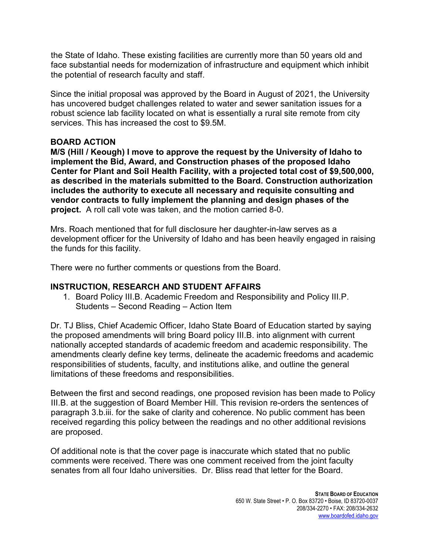the State of Idaho. These existing facilities are currently more than 50 years old and face substantial needs for modernization of infrastructure and equipment which inhibit the potential of research faculty and staff.

Since the initial proposal was approved by the Board in August of 2021, the University has uncovered budget challenges related to water and sewer sanitation issues for a robust science lab facility located on what is essentially a rural site remote from city services. This has increased the cost to \$9.5M.

#### **BOARD ACTION**

**M/S (Hill / Keough) I move to approve the request by the University of Idaho to implement the Bid, Award, and Construction phases of the proposed Idaho Center for Plant and Soil Health Facility, with a projected total cost of \$9,500,000, as described in the materials submitted to the Board. Construction authorization includes the authority to execute all necessary and requisite consulting and vendor contracts to fully implement the planning and design phases of the project.** A roll call vote was taken, and the motion carried 8-0.

Mrs. Roach mentioned that for full disclosure her daughter-in-law serves as a development officer for the University of Idaho and has been heavily engaged in raising the funds for this facility.

There were no further comments or questions from the Board.

## **INSTRUCTION, RESEARCH AND STUDENT AFFAIRS**

1. Board Policy III.B. Academic Freedom and Responsibility and Policy III.P. Students – Second Reading – Action Item

Dr. TJ Bliss, Chief Academic Officer, Idaho State Board of Education started by saying the proposed amendments will bring Board policy III.B. into alignment with current nationally accepted standards of academic freedom and academic responsibility. The amendments clearly define key terms, delineate the academic freedoms and academic responsibilities of students, faculty, and institutions alike, and outline the general limitations of these freedoms and responsibilities.

Between the first and second readings, one proposed revision has been made to Policy III.B. at the suggestion of Board Member Hill. This revision re-orders the sentences of paragraph 3.b.iii. for the sake of clarity and coherence. No public comment has been received regarding this policy between the readings and no other additional revisions are proposed.

Of additional note is that the cover page is inaccurate which stated that no public comments were received. There was one comment received from the joint faculty senates from all four Idaho universities. Dr. Bliss read that letter for the Board.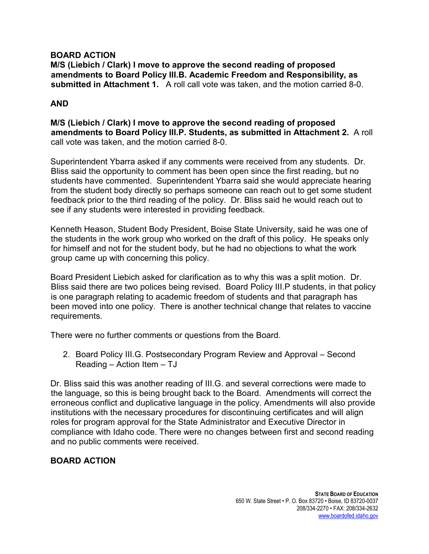### **BOARD ACTION**

**M/S (Liebich / Clark) I move to approve the second reading of proposed amendments to Board Policy III.B. Academic Freedom and Responsibility, as submitted in Attachment 1.** A roll call vote was taken, and the motion carried 8-0.

## **AND**

**M/S (Liebich / Clark) I move to approve the second reading of proposed amendments to Board Policy III.P. Students, as submitted in Attachment 2.** A roll call vote was taken, and the motion carried 8-0.

Superintendent Ybarra asked if any comments were received from any students. Dr. Bliss said the opportunity to comment has been open since the first reading, but no students have commented. Superintendent Ybarra said she would appreciate hearing from the student body directly so perhaps someone can reach out to get some student feedback prior to the third reading of the policy. Dr. Bliss said he would reach out to see if any students were interested in providing feedback.

Kenneth Heason, Student Body President, Boise State University, said he was one of the students in the work group who worked on the draft of this policy. He speaks only for himself and not for the student body, but he had no objections to what the work group came up with concerning this policy.

Board President Liebich asked for clarification as to why this was a split motion. Dr. Bliss said there are two polices being revised. Board Policy III.P students, in that policy is one paragraph relating to academic freedom of students and that paragraph has been moved into one policy. There is another technical change that relates to vaccine requirements.

There were no further comments or questions from the Board.

2. Board Policy III.G. Postsecondary Program Review and Approval – Second Reading – Action Item – TJ

Dr. Bliss said this was another reading of III.G. and several corrections were made to the language, so this is being brought back to the Board. Amendments will correct the erroneous conflict and duplicative language in the policy. Amendments will also provide institutions with the necessary procedures for discontinuing certificates and will align roles for program approval for the State Administrator and Executive Director in compliance with Idaho code. There were no changes between first and second reading and no public comments were received.

# **BOARD ACTION**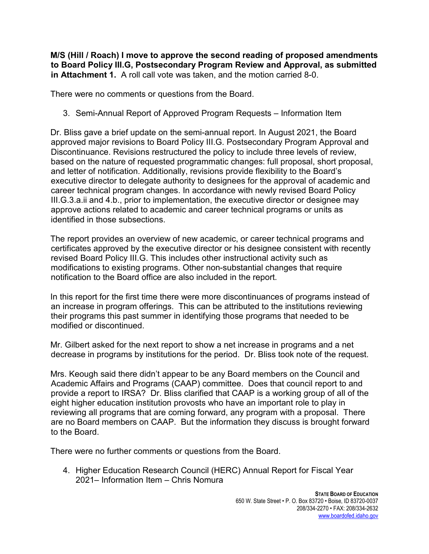**M/S (Hill / Roach) I move to approve the second reading of proposed amendments to Board Policy III.G, Postsecondary Program Review and Approval, as submitted in Attachment 1.** A roll call vote was taken, and the motion carried 8-0.

There were no comments or questions from the Board.

3. Semi-Annual Report of Approved Program Requests – Information Item

Dr. Bliss gave a brief update on the semi-annual report. In August 2021, the Board approved major revisions to Board Policy III.G. Postsecondary Program Approval and Discontinuance. Revisions restructured the policy to include three levels of review, based on the nature of requested programmatic changes: full proposal, short proposal, and letter of notification. Additionally, revisions provide flexibility to the Board's executive director to delegate authority to designees for the approval of academic and career technical program changes. In accordance with newly revised Board Policy III.G.3.a.ii and 4.b., prior to implementation, the executive director or designee may approve actions related to academic and career technical programs or units as identified in those subsections.

The report provides an overview of new academic, or career technical programs and certificates approved by the executive director or his designee consistent with recently revised Board Policy III.G. This includes other instructional activity such as modifications to existing programs. Other non-substantial changes that require notification to the Board office are also included in the report.

In this report for the first time there were more discontinuances of programs instead of an increase in program offerings. This can be attributed to the institutions reviewing their programs this past summer in identifying those programs that needed to be modified or discontinued.

Mr. Gilbert asked for the next report to show a net increase in programs and a net decrease in programs by institutions for the period. Dr. Bliss took note of the request.

Mrs. Keough said there didn't appear to be any Board members on the Council and Academic Affairs and Programs (CAAP) committee. Does that council report to and provide a report to IRSA? Dr. Bliss clarified that CAAP is a working group of all of the eight higher education institution provosts who have an important role to play in reviewing all programs that are coming forward, any program with a proposal. There are no Board members on CAAP. But the information they discuss is brought forward to the Board.

There were no further comments or questions from the Board.

4. Higher Education Research Council (HERC) Annual Report for Fiscal Year 2021– Information Item – Chris Nomura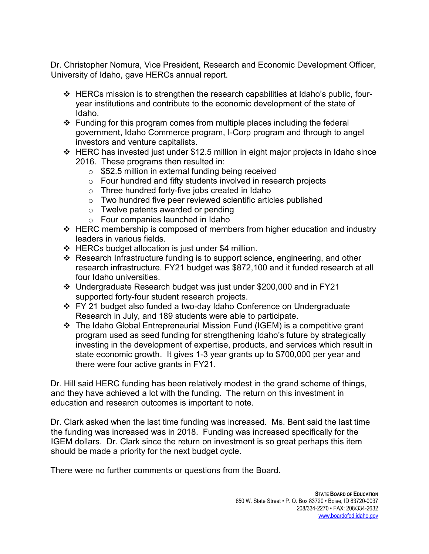Dr. Christopher Nomura, Vice President, Research and Economic Development Officer, University of Idaho, gave HERCs annual report.

- $\div$  HERCs mission is to strengthen the research capabilities at Idaho's public, fouryear institutions and contribute to the economic development of the state of Idaho.
- $\div$  Funding for this program comes from multiple places including the federal government, Idaho Commerce program, I-Corp program and through to angel investors and venture capitalists.
- $\div$  HERC has invested just under \$12.5 million in eight major projects in Idaho since 2016. These programs then resulted in:
	- o \$52.5 million in external funding being received
	- o Four hundred and fifty students involved in research projects
	- o Three hundred forty-five jobs created in Idaho
	- o Two hundred five peer reviewed scientific articles published
	- o Twelve patents awarded or pending
	- o Four companies launched in Idaho
- $\div$  HERC membership is composed of members from higher education and industry leaders in various fields.
- $\div$  HERCs budget allocation is just under \$4 million.
- Research Infrastructure funding is to support science, engineering, and other research infrastructure. FY21 budget was \$872,100 and it funded research at all four Idaho universities.
- Undergraduate Research budget was just under \$200,000 and in FY21 supported forty-four student research projects.
- FY 21 budget also funded a two-day Idaho Conference on Undergraduate Research in July, and 189 students were able to participate.
- The Idaho Global Entrepreneurial Mission Fund (IGEM) is a competitive grant program used as seed funding for strengthening Idaho's future by strategically investing in the development of expertise, products, and services which result in state economic growth. It gives 1-3 year grants up to \$700,000 per year and there were four active grants in FY21.

Dr. Hill said HERC funding has been relatively modest in the grand scheme of things, and they have achieved a lot with the funding. The return on this investment in education and research outcomes is important to note.

Dr. Clark asked when the last time funding was increased. Ms. Bent said the last time the funding was increased was in 2018. Funding was increased specifically for the IGEM dollars. Dr. Clark since the return on investment is so great perhaps this item should be made a priority for the next budget cycle.

There were no further comments or questions from the Board.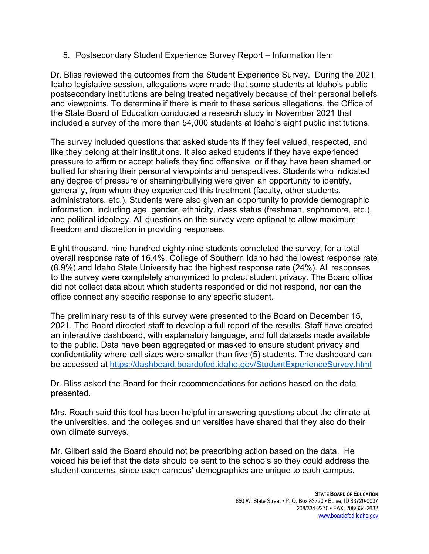5. Postsecondary Student Experience Survey Report – Information Item

Dr. Bliss reviewed the outcomes from the Student Experience Survey. During the 2021 Idaho legislative session, allegations were made that some students at Idaho's public postsecondary institutions are being treated negatively because of their personal beliefs and viewpoints. To determine if there is merit to these serious allegations, the Office of the State Board of Education conducted a research study in November 2021 that included a survey of the more than 54,000 students at Idaho's eight public institutions.

The survey included questions that asked students if they feel valued, respected, and like they belong at their institutions. It also asked students if they have experienced pressure to affirm or accept beliefs they find offensive, or if they have been shamed or bullied for sharing their personal viewpoints and perspectives. Students who indicated any degree of pressure or shaming/bullying were given an opportunity to identify, generally, from whom they experienced this treatment (faculty, other students, administrators, etc.). Students were also given an opportunity to provide demographic information, including age, gender, ethnicity, class status (freshman, sophomore, etc.), and political ideology. All questions on the survey were optional to allow maximum freedom and discretion in providing responses.

Eight thousand, nine hundred eighty-nine students completed the survey, for a total overall response rate of 16.4%. College of Southern Idaho had the lowest response rate (8.9%) and Idaho State University had the highest response rate (24%). All responses to the survey were completely anonymized to protect student privacy. The Board office did not collect data about which students responded or did not respond, nor can the office connect any specific response to any specific student.

The preliminary results of this survey were presented to the Board on December 15, 2021. The Board directed staff to develop a full report of the results. Staff have created an interactive dashboard, with explanatory language, and full datasets made available to the public. Data have been aggregated or masked to ensure student privacy and confidentiality where cell sizes were smaller than five (5) students. The dashboard can be accessed at<https://dashboard.boardofed.idaho.gov/StudentExperienceSurvey.html>

Dr. Bliss asked the Board for their recommendations for actions based on the data presented.

Mrs. Roach said this tool has been helpful in answering questions about the climate at the universities, and the colleges and universities have shared that they also do their own climate surveys.

Mr. Gilbert said the Board should not be prescribing action based on the data. He voiced his belief that the data should be sent to the schools so they could address the student concerns, since each campus' demographics are unique to each campus.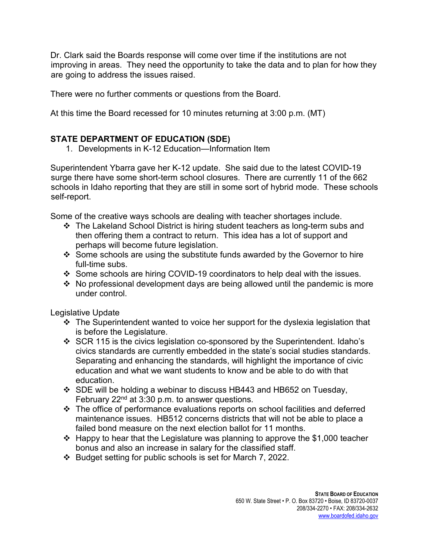Dr. Clark said the Boards response will come over time if the institutions are not improving in areas. They need the opportunity to take the data and to plan for how they are going to address the issues raised.

There were no further comments or questions from the Board.

At this time the Board recessed for 10 minutes returning at 3:00 p.m. (MT)

## **STATE DEPARTMENT OF EDUCATION (SDE)**

1. Developments in K-12 Education—Information Item

Superintendent Ybarra gave her K-12 update. She said due to the latest COVID-19 surge there have some short-term school closures. There are currently 11 of the 662 schools in Idaho reporting that they are still in some sort of hybrid mode. These schools self-report.

Some of the creative ways schools are dealing with teacher shortages include.

- The Lakeland School District is hiring student teachers as long-term subs and then offering them a contract to return. This idea has a lot of support and perhaps will become future legislation.
- Some schools are using the substitute funds awarded by the Governor to hire full-time subs.
- Some schools are hiring COVID-19 coordinators to help deal with the issues.
- $\cdot$  No professional development days are being allowed until the pandemic is more under control.

Legislative Update

- $\cdot$  The Superintendent wanted to voice her support for the dyslexia legislation that is before the Legislature.
- SCR 115 is the civics legislation co-sponsored by the Superintendent. Idaho's civics standards are currently embedded in the state's social studies standards. Separating and enhancing the standards, will highlight the importance of civic education and what we want students to know and be able to do with that education.
- $\div$  SDE will be holding a webinar to discuss HB443 and HB652 on Tuesday, February  $22<sup>nd</sup>$  at 3:30 p.m. to answer questions.
- The office of performance evaluations reports on school facilities and deferred maintenance issues. HB512 concerns districts that will not be able to place a failed bond measure on the next election ballot for 11 months.
- $\div$  Happy to hear that the Legislature was planning to approve the \$1,000 teacher bonus and also an increase in salary for the classified staff.
- $\cdot$  Budget setting for public schools is set for March 7, 2022.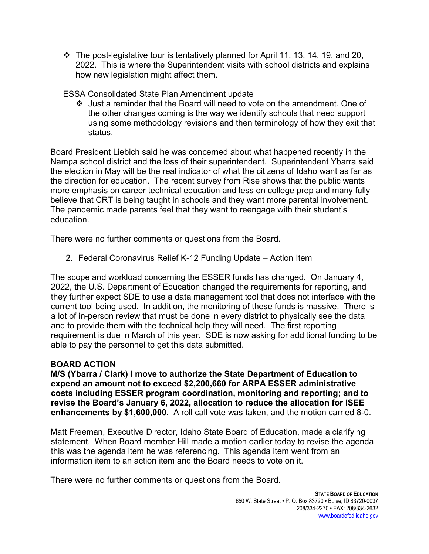$\cdot \cdot$  The post-legislative tour is tentatively planned for April 11, 13, 14, 19, and 20, 2022. This is where the Superintendent visits with school districts and explains how new legislation might affect them.

ESSA Consolidated State Plan Amendment update

 Just a reminder that the Board will need to vote on the amendment. One of the other changes coming is the way we identify schools that need support using some methodology revisions and then terminology of how they exit that status.

Board President Liebich said he was concerned about what happened recently in the Nampa school district and the loss of their superintendent. Superintendent Ybarra said the election in May will be the real indicator of what the citizens of Idaho want as far as the direction for education. The recent survey from Rise shows that the public wants more emphasis on career technical education and less on college prep and many fully believe that CRT is being taught in schools and they want more parental involvement. The pandemic made parents feel that they want to reengage with their student's education.

There were no further comments or questions from the Board.

2. Federal Coronavirus Relief K-12 Funding Update – Action Item

The scope and workload concerning the ESSER funds has changed. On January 4, 2022, the U.S. Department of Education changed the requirements for reporting, and they further expect SDE to use a data management tool that does not interface with the current tool being used. In addition, the monitoring of these funds is massive. There is a lot of in-person review that must be done in every district to physically see the data and to provide them with the technical help they will need. The first reporting requirement is due in March of this year. SDE is now asking for additional funding to be able to pay the personnel to get this data submitted.

## **BOARD ACTION**

**M/S (Ybarra / Clark) I move to authorize the State Department of Education to expend an amount not to exceed \$2,200,660 for ARPA ESSER administrative costs including ESSER program coordination, monitoring and reporting; and to revise the Board's January 6, 2022, allocation to reduce the allocation for ISEE enhancements by \$1,600,000.** A roll call vote was taken, and the motion carried 8-0.

Matt Freeman, Executive Director, Idaho State Board of Education, made a clarifying statement. When Board member Hill made a motion earlier today to revise the agenda this was the agenda item he was referencing. This agenda item went from an information item to an action item and the Board needs to vote on it.

There were no further comments or questions from the Board.